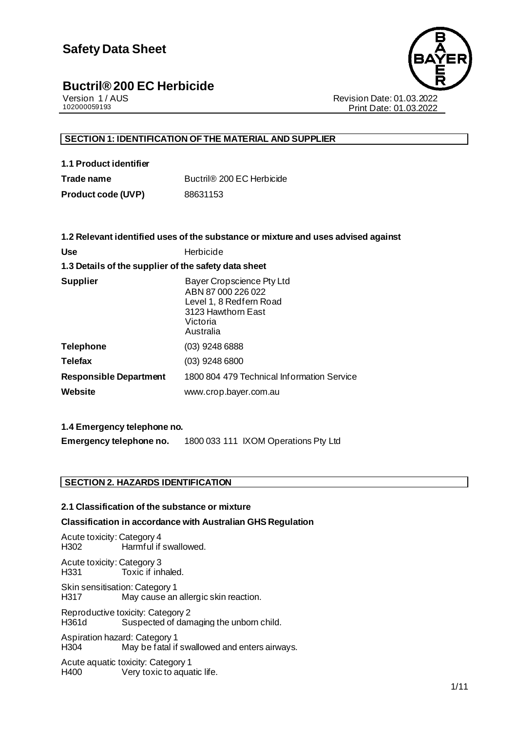# Buctril<sup>®</sup> 200 EC Herbicide<br>
Version 1/AUS



Version 1 / AUS Revision Date: 01.03.2022 Print Date: 01.03.2022

### **SECTION 1: IDENTIFICATION OF THE MATERIAL AND SUPPLIER**

| 1.1 Product identifier |  |
|------------------------|--|
| Trade name             |  |

**Trade name** Buctril® 200 EC Herbicide **Product code (UVP)** 88631153

|                                                      | 1.2 Relevant identified uses of the substance or mixture and uses advised against                                         |  |  |
|------------------------------------------------------|---------------------------------------------------------------------------------------------------------------------------|--|--|
| <b>Use</b>                                           | Herbicide                                                                                                                 |  |  |
| 1.3 Details of the supplier of the safety data sheet |                                                                                                                           |  |  |
| <b>Supplier</b>                                      | Bayer Cropscience Pty Ltd<br>ABN 87 000 226 022<br>Level 1, 8 Redfern Road<br>3123 Hawthorn East<br>Victoria<br>Australia |  |  |
| <b>Telephone</b>                                     | (03) 9248 6888                                                                                                            |  |  |
| <b>Telefax</b>                                       | $(03)$ 9248 6800                                                                                                          |  |  |
| <b>Responsible Department</b>                        | 1800 804 479 Technical Information Service                                                                                |  |  |
| Website                                              | www.crop.bayer.com.au                                                                                                     |  |  |
|                                                      |                                                                                                                           |  |  |

### **1.4 Emergency telephone no.**

**Emergency telephone no.** 1800 033 111 IXOM Operations Pty Ltd

### **SECTION 2. HAZARDS IDENTIFICATION**

### **2.1 Classification of the substance or mixture**

### **Classification in accordance with Australian GHS Regulation**

Acute toxicity: Category 4 Harmful if swallowed. Acute toxicity: Category 3 H331 Toxic if inhaled. Skin sensitisation: Category 1 H317 May cause an allergic skin reaction. Reproductive toxicity: Category 2 Suspected of damaging the unborn child. Aspiration hazard: Category 1 H304 May be fatal if swallowed and enters airways. Acute aquatic toxicity: Category 1

H400 Very toxic to aquatic life.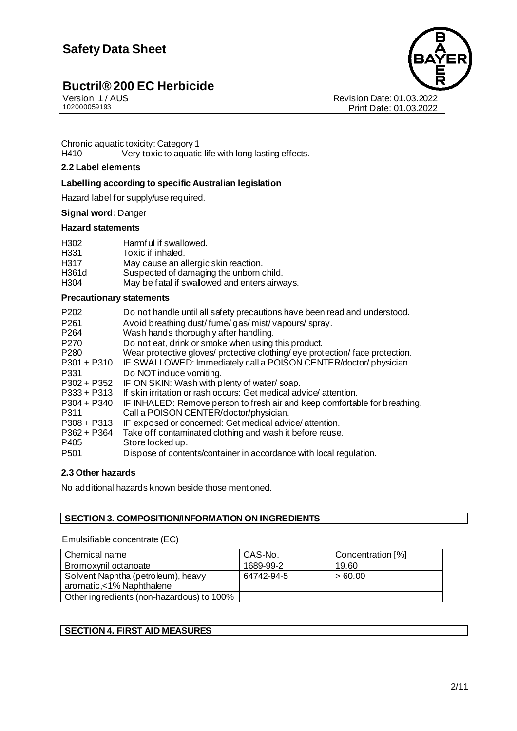# Buctril<sup>®</sup> 200 EC Herbicide<br>
Version 1/AUS



Version 1 / AUS Revision Date: 01.03.2022 Print Date: 01.03.2022

Chronic aquatic toxicity: Category 1<br>H410 Very toxic to aquatic Very toxic to aquatic life with long lasting effects.

### **2.2 Label elements**

### **Labelling according to specific Australian legislation**

Hazard label for supply/use required.

### **Signal word:** Danger

### **Hazard statements**

| H302             | Harmful if swallowed.                         |
|------------------|-----------------------------------------------|
| H <sub>331</sub> | Toxic if inhaled.                             |
| H317             | May cause an allergic skin reaction.          |
| H361d            | Suspected of damaging the unborn child.       |
| H <sub>304</sub> | May be fatal if swallowed and enters airways. |

### **Precautionary statements**

| P <sub>202</sub> | Do not handle until all safety precautions have been read and understood.    |
|------------------|------------------------------------------------------------------------------|
| P <sub>261</sub> | Avoid breathing dust/fume/gas/mist/vapours/spray.                            |
| P <sub>264</sub> | Wash hands thoroughly after handling.                                        |
| P <sub>270</sub> | Do not eat, drink or smoke when using this product.                          |
| P <sub>280</sub> | Wear protective gloves/ protective clothing/eye protection/ face protection. |
| $P301 + P310$    | IF SWALLOWED: Immediately call a POISON CENTER/doctor/physician.             |
| P331             | Do NOT induce vomiting.                                                      |
| $P302 + P352$    | IF ON SKIN: Wash with plenty of water/soap.                                  |
| $P333 + P313$    | If skin irritation or rash occurs: Get medical advice attention.             |
| $P304 + P340$    | IF INHALED: Remove person to fresh air and keep comfortable for breathing.   |
| P311             | Call a POISON CENTER/doctor/physician.                                       |
| $P308 + P313$    | IF exposed or concerned: Get medical advice/attention.                       |
| $P362 + P364$    | Take off contaminated clothing and wash it before reuse.                     |
| P405             | Store locked up.                                                             |
| P <sub>501</sub> | Dispose of contents/container in accordance with local regulation.           |

### **2.3 Other hazards**

No additional hazards known beside those mentioned.

### **SECTION 3. COMPOSITION/INFORMATION ON INGREDIENTS**

### Emulsifiable concentrate (EC)

| Chemical name                             | CAS-No.    | Concentration [%] |
|-------------------------------------------|------------|-------------------|
| Bromoxynil octanoate                      | 1689-99-2  | 19.60             |
| Solvent Naphtha (petroleum), heavy        | 64742-94-5 | >60.00            |
| aromatic,<1% Naphthalene                  |            |                   |
| Other ingredients (non-hazardous) to 100% |            |                   |

### **SECTION 4. FIRST AID MEASURES**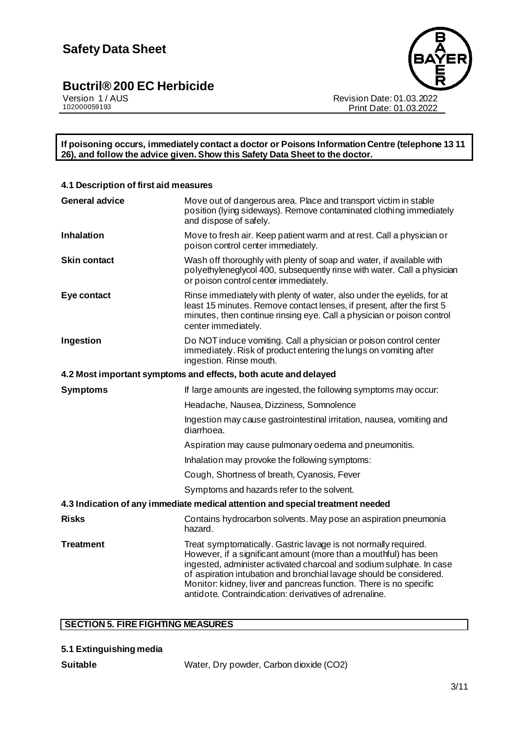

Version 1 / AUS Revision Date: 01.03.2022 Print Date: 01.03.2022

**If poisoning occurs, immediately contact a doctor or Poisons Information Centre (telephone 13 11 26), and follow the advice given. Show this Safety Data Sheet to the doctor.**

| 4.1 Description of first aid measures                           |                                                                                                                                                                                                                                                                                                                                                                                                                    |  |  |  |
|-----------------------------------------------------------------|--------------------------------------------------------------------------------------------------------------------------------------------------------------------------------------------------------------------------------------------------------------------------------------------------------------------------------------------------------------------------------------------------------------------|--|--|--|
| <b>General advice</b>                                           | Move out of dangerous area. Place and transport victim in stable<br>position (lying sideways). Remove contaminated clothing immediately<br>and dispose of safely.                                                                                                                                                                                                                                                  |  |  |  |
| Inhalation                                                      | Move to fresh air. Keep patient warm and at rest. Call a physician or<br>poison control center immediately.                                                                                                                                                                                                                                                                                                        |  |  |  |
| <b>Skin contact</b>                                             | Wash off thoroughly with plenty of soap and water, if available with<br>polyethyleneglycol 400, subsequently rinse with water. Call a physician<br>or poison control center immediately.                                                                                                                                                                                                                           |  |  |  |
| Eye contact                                                     | Rinse immediately with plenty of water, also under the eyelids, for at<br>least 15 minutes. Remove contact lenses, if present, after the first 5<br>minutes, then continue rinsing eye. Call a physician or poison control<br>center immediately.                                                                                                                                                                  |  |  |  |
| Ingestion                                                       | Do NOT induce vomiting. Call a physician or poison control center<br>immediately. Risk of product entering the lungs on vomiting after<br>ingestion. Rinse mouth.                                                                                                                                                                                                                                                  |  |  |  |
| 4.2 Most important symptoms and effects, both acute and delayed |                                                                                                                                                                                                                                                                                                                                                                                                                    |  |  |  |
| <b>Symptoms</b>                                                 | If large amounts are ingested, the following symptoms may occur:                                                                                                                                                                                                                                                                                                                                                   |  |  |  |
|                                                                 | Headache, Nausea, Dizziness, Somnolence                                                                                                                                                                                                                                                                                                                                                                            |  |  |  |
|                                                                 | Ingestion may cause gastrointestinal irritation, nausea, vomiting and<br>diarrhoea.                                                                                                                                                                                                                                                                                                                                |  |  |  |
|                                                                 | Aspiration may cause pulmonary oedema and pneumonitis.                                                                                                                                                                                                                                                                                                                                                             |  |  |  |
|                                                                 | Inhalation may provoke the following symptoms:                                                                                                                                                                                                                                                                                                                                                                     |  |  |  |
|                                                                 | Cough, Shortness of breath, Cyanosis, Fever                                                                                                                                                                                                                                                                                                                                                                        |  |  |  |
|                                                                 | Symptoms and hazards refer to the solvent.                                                                                                                                                                                                                                                                                                                                                                         |  |  |  |
|                                                                 | 4.3 Indication of any immediate medical attention and special treatment needed                                                                                                                                                                                                                                                                                                                                     |  |  |  |
| <b>Risks</b>                                                    | Contains hydrocarbon solvents. May pose an aspiration pneumonia<br>hazard.                                                                                                                                                                                                                                                                                                                                         |  |  |  |
| <b>Treatment</b>                                                | Treat symptomatically. Gastric lavage is not normally required.<br>However, if a significant amount (more than a mouthful) has been<br>ingested, administer activated charcoal and sodium sulphate. In case<br>of aspiration intubation and bronchial lavage should be considered.<br>Monitor: kidney, liver and pancreas function. There is no specific<br>antidote. Contraindication: derivatives of adrenaline. |  |  |  |

### **SECTION 5. FIRE FIGHTING MEASURES**

|  | 5.1 Extinguishing media |
|--|-------------------------|
|  |                         |

Suitable **Suitable** Water, Dry powder, Carbon dioxide (CO2)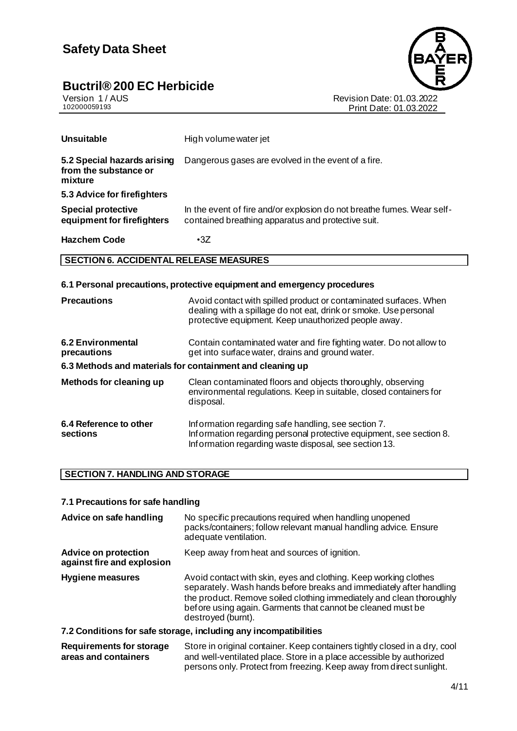

Version 1 / AUS Revision Date: 01.03.2022 Print Date: 01.03.2022

| Unsuitable                                                      | High volume water jet                                                                                                        |
|-----------------------------------------------------------------|------------------------------------------------------------------------------------------------------------------------------|
| 5.2 Special hazards arising<br>from the substance or<br>mixture | Dangerous gases are evolved in the event of a fire.                                                                          |
| 5.3 Advice for firefighters                                     |                                                                                                                              |
| <b>Special protective</b><br>equipment for firefighters         | In the event of fire and/or explosion do not breathe fumes. Wear self-<br>contained breathing apparatus and protective suit. |
| <b>Hazchem Code</b>                                             | $\cdot$ 3Z                                                                                                                   |

### **SECTION 6. ACCIDENTAL RELEASE MEASURES**

### **6.1 Personal precautions, protective equipment and emergency procedures**

| <b>Precautions</b>                                        | Avoid contact with spilled product or contaminated surfaces. When<br>dealing with a spillage do not eat, drink or smoke. Use personal<br>protective equipment. Keep unauthorized people away. |
|-----------------------------------------------------------|-----------------------------------------------------------------------------------------------------------------------------------------------------------------------------------------------|
| 6.2 Environmental<br>precautions                          | Contain contaminated water and fire fighting water. Do not allow to<br>get into surface water, drains and ground water.                                                                       |
| 6.3 Methods and materials for containment and cleaning up |                                                                                                                                                                                               |
| Methods for cleaning up                                   | Clean contaminated floors and objects thoroughly, observing<br>environmental regulations. Keep in suitable, closed containers for<br>disposal.                                                |
| 6.4 Reference to other<br>sections                        | Information regarding safe handling, see section 7.<br>Information regarding personal protective equipment, see section 8.<br>Information regarding waste disposal, see section 13.           |

### **SECTION 7. HANDLING AND STORAGE**

### **7.1 Precautions for safe handling**

| Advice on safe handling                                   | No specific precautions required when handling unopened<br>packs/containers; follow relevant manual handling advice. Ensure<br>adequate ventilation.                                                                                                                                                 |
|-----------------------------------------------------------|------------------------------------------------------------------------------------------------------------------------------------------------------------------------------------------------------------------------------------------------------------------------------------------------------|
| <b>Advice on protection</b><br>against fire and explosion | Keep away from heat and sources of ignition.                                                                                                                                                                                                                                                         |
| <b>Hygiene measures</b>                                   | Avoid contact with skin, eyes and clothing. Keep working clothes<br>separately. Wash hands before breaks and immediately after handling<br>the product. Remove soiled clothing immediately and clean thoroughly<br>before using again. Garments that cannot be cleaned must be<br>destroyed (burnt). |
|                                                           | 7.2 Conditions for safe storage, including any incompatibilities                                                                                                                                                                                                                                     |

#### **Requirements for storage areas and containers** Store in original container. Keep containers tightly closed in a dry, cool and well-ventilated place. Store in a place accessible by authorized persons only. Protect from freezing. Keep away from direct sunlight.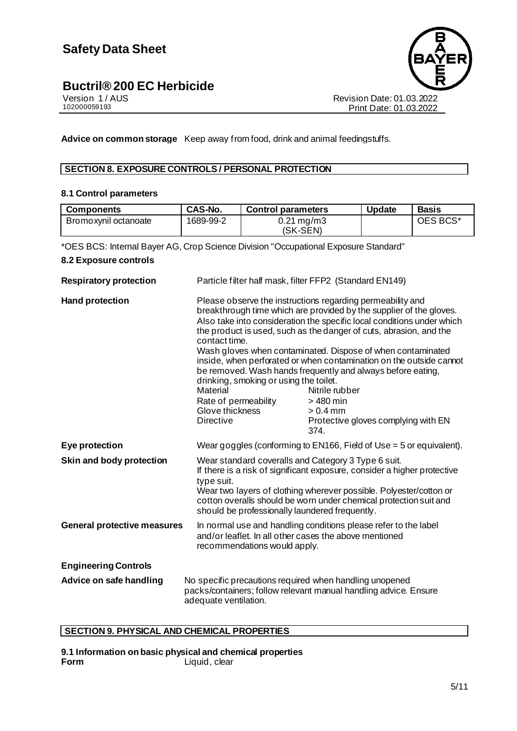

Revision Date: 01.03.2022 Print Date: 01.03.2022

**Advice on common storage** Keep away from food, drink and animal feedingstuffs.

### **SECTION 8. EXPOSURE CONTROLS / PERSONAL PROTECTION**

### **8.1 Control parameters**

| <b>Components</b>    | CAS-No.   | <b>Control parameters</b>           | <b>Update</b> | <b>Basis</b> |
|----------------------|-----------|-------------------------------------|---------------|--------------|
| Bromoxynil octanoate | 1689-99-2 | $0.21 \,\mathrm{mg/m3}$<br>(SK-SEN) |               | OES BCS*     |

\*OES BCS: Internal Bayer AG, Crop Science Division "Occupational Exposure Standard"

### **8.2 Exposure controls**

| <b>Respiratory protection</b>      | Particle filter half mask, filter FFP2 (Standard EN149)                                                                                                   |                                                                                                                                                                                                                                                                                                                                                                                                                                                                                                                                                                                      |  |
|------------------------------------|-----------------------------------------------------------------------------------------------------------------------------------------------------------|--------------------------------------------------------------------------------------------------------------------------------------------------------------------------------------------------------------------------------------------------------------------------------------------------------------------------------------------------------------------------------------------------------------------------------------------------------------------------------------------------------------------------------------------------------------------------------------|--|
| <b>Hand protection</b>             | contact time.<br>drinking, smoking or using the toilet.<br><b>Material</b><br>Rate of permeability<br>Glove thickness<br><b>Directive</b>                 | Please observe the instructions regarding permeability and<br>breakthrough time which are provided by the supplier of the gloves.<br>Also take into consideration the specific local conditions under which<br>the product is used, such as the danger of cuts, abrasion, and the<br>Wash gloves when contaminated. Dispose of when contaminated<br>inside, when perforated or when contamination on the outside cannot<br>be removed. Wash hands frequently and always before eating,<br>Nitrile rubber<br>$>$ 480 min<br>$> 0.4$ mm<br>Protective gloves complying with EN<br>374. |  |
| Eye protection                     |                                                                                                                                                           | Wear goggles (conforming to EN166, Field of Use = 5 or equivalent).                                                                                                                                                                                                                                                                                                                                                                                                                                                                                                                  |  |
| Skin and body protection           | type suit.                                                                                                                                                | Wear standard coveralls and Category 3 Type 6 suit.<br>If there is a risk of significant exposure, consider a higher protective<br>Wear two layers of clothing wherever possible. Polyester/cotton or<br>cotton overalls should be worn under chemical protection suit and<br>should be professionally laundered frequently.                                                                                                                                                                                                                                                         |  |
| <b>General protective measures</b> | In normal use and handling conditions please refer to the label<br>and/or leaflet. In all other cases the above mentioned<br>recommendations would apply. |                                                                                                                                                                                                                                                                                                                                                                                                                                                                                                                                                                                      |  |
| <b>Engineering Controls</b>        |                                                                                                                                                           |                                                                                                                                                                                                                                                                                                                                                                                                                                                                                                                                                                                      |  |
| Advice on safe handling            | No specific precautions required when handling unopened<br>packs/containers; follow relevant manual handling advice. Ensure<br>adequate ventilation.      |                                                                                                                                                                                                                                                                                                                                                                                                                                                                                                                                                                                      |  |

### **SECTION 9. PHYSICAL AND CHEMICAL PROPERTIES**

**9.1 Information on basic physical and chemical properties Form** Liquid, clear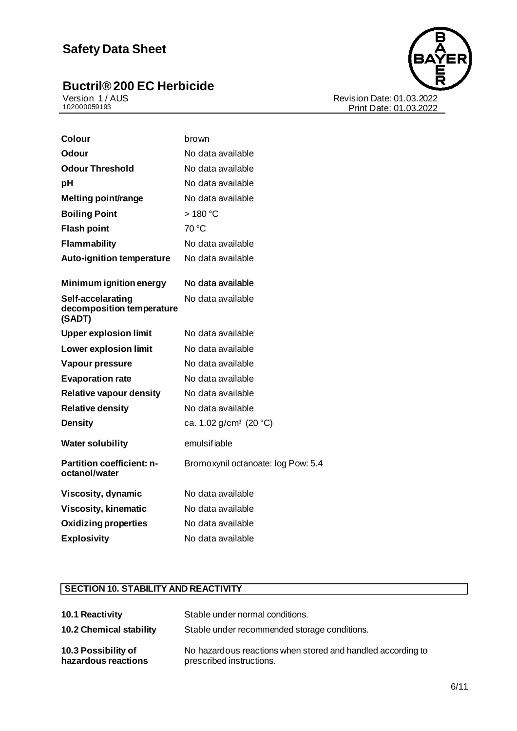# **Buctril® 200 EC Herbicide**<br>
Version 1/AUS<br>102000059193



Revision Date: 01.03.2022 Print Date: 01.03.2022

| <b>Colour</b>                                            | brown                              |
|----------------------------------------------------------|------------------------------------|
| Odour                                                    | No data available                  |
| <b>Odour Threshold</b>                                   | No data available                  |
| рH                                                       | No data available                  |
| Melting point/range                                      | No data available                  |
| <b>Boiling Point</b>                                     | $>180^{\circ}$ C                   |
| <b>Flash point</b>                                       | 70 °C                              |
| <b>Flammability</b>                                      | No data available                  |
| <b>Auto-ignition temperature</b>                         | No data available                  |
| Minimum ignition energy                                  | No data available                  |
| Self-accelarating<br>decomposition temperature<br>(SADT) | No data available                  |
| <b>Upper explosion limit</b>                             | No data available                  |
| <b>Lower explosion limit</b>                             | No data available                  |
| Vapour pressure                                          | No data available                  |
| <b>Evaporation rate</b>                                  | No data available                  |
| <b>Relative vapour density</b>                           | No data available                  |
| <b>Relative density</b>                                  | No data available                  |
| <b>Density</b>                                           | ca. 1.02 g/cm <sup>3</sup> (20 °C) |
| <b>Water solubility</b>                                  | emulsifiable                       |
| <b>Partition coefficient: n-</b><br>octanol/water        | Bromoxynil octanoate: log Pow: 5.4 |
| Viscosity, dynamic                                       | No data available                  |
| <b>Viscosity, kinematic</b>                              | No data available                  |
| <b>Oxidizing properties</b>                              | No data available                  |
| <b>Explosivity</b>                                       | No data available                  |

### **SECTION 10. STABILITY AND REACTIVITY**

| 10.1 Reactivity                            | Stable under normal conditions.                                                         |
|--------------------------------------------|-----------------------------------------------------------------------------------------|
| <b>10.2 Chemical stability</b>             | Stable under recommended storage conditions.                                            |
| 10.3 Possibility of<br>hazardous reactions | No hazardous reactions when stored and handled according to<br>prescribed instructions. |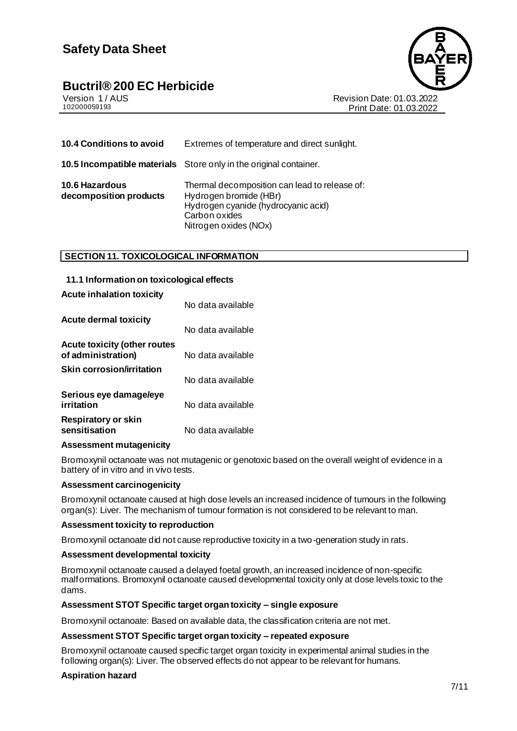# Buctril<sup>®</sup> 200 EC Herbicide<br>
Version 1/AUS



Version 1 / AUS<br>102000059193<br>Print Date: 01.03.2022 Print Date: 01.03.2022

| 10.4 Conditions to avoid                        | Extremes of temperature and direct sunlight.                                                                                                             |
|-------------------------------------------------|----------------------------------------------------------------------------------------------------------------------------------------------------------|
|                                                 | <b>10.5 Incompatible materials</b> Store only in the original container.                                                                                 |
| <b>10.6 Hazardous</b><br>decomposition products | Thermal decomposition can lead to release of:<br>Hydrogen bromide (HBr)<br>Hydrogen cyanide (hydrocyanic acid)<br>Carbon oxides<br>Nitrogen oxides (NOx) |

### **SECTION 11. TOXICOLOGICAL INFORMATION**

| 11.1 Information on toxicological effects                 |                   |
|-----------------------------------------------------------|-------------------|
| <b>Acute inhalation toxicity</b>                          |                   |
| <b>Acute dermal toxicity</b>                              | No data available |
|                                                           | No data available |
| <b>Acute toxicity (other routes</b><br>of administration) | No data available |
| <b>Skin corrosion/irritation</b>                          | No data available |
| Serious eye damage/eye<br>irritation                      | No data available |
| <b>Respiratory or skin</b><br>sensitisation               | No data available |

### **Assessment mutagenicity**

Bromoxynil octanoate was not mutagenic or genotoxic based on the overall weight of evidence in a battery of in vitro and in vivo tests.

### **Assessment carcinogenicity**

Bromoxynil octanoate caused at high dose levels an increased incidence of tumours in the following organ(s): Liver. The mechanism of tumour formation is not considered to be relevant to man.

### **Assessment toxicity to reproduction**

Bromoxynil octanoate did not cause reproductive toxicity in a two-generation study in rats.

### **Assessment developmental toxicity**

Bromoxynil octanoate caused a delayed foetal growth, an increased incidence of non-specific malformations. Bromoxynil octanoate caused developmental toxicity only at dose levels toxic to the dams.

### **Assessment STOT Specific target organ toxicity – single exposure**

Bromoxynil octanoate: Based on available data, the classification criteria are not met.

### **Assessment STOT Specific target organ toxicity – repeated exposure**

Bromoxynil octanoate caused specific target organ toxicity in experimental animal studies in the following organ(s): Liver. The observed effects do not appear to be relevant for humans.

### **Aspiration hazard**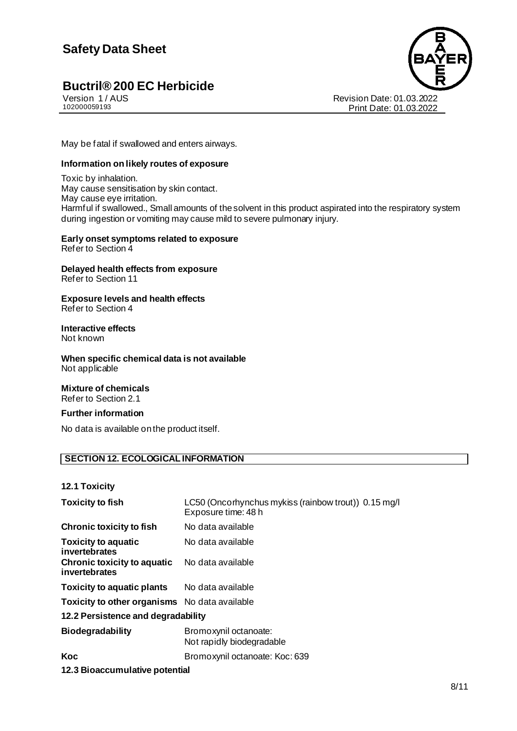# Buctril® 200 EC Herbicide<br>Version 1/AUS



Version 1 / AUS Revision Date: 01.03.2022 Print Date: 01.03.2022

May be fatal if swallowed and enters airways.

### **Information on likely routes of exposure**

Toxic by inhalation. May cause sensitisation by skin contact. May cause eye irritation. Harmful if swallowed., Small amounts of the solvent in this product aspirated into the respiratory system during ingestion or vomiting may cause mild to severe pulmonary injury.

#### **Early onset symptoms related to exposure** Refer to Section 4

**Delayed health effects from exposure**

Refer to Section 11

**Exposure levels and health effects** Refer to Section 4

### **Interactive effects**

Not known

**When specific chemical data is not available** Not applicable

### **Mixture of chemicals**

Refer to Section 2.1

### **Further information**

No data is available on the product itself.

### **SECTION 12. ECOLOGICAL INFORMATION**

**12.1 Toxicity**

| <b>Toxicity to fish</b>                              | LC50 (Oncorhynchus mykiss (rainbow trout)) 0.15 mg/l<br>Exposure time: 48 h |
|------------------------------------------------------|-----------------------------------------------------------------------------|
| <b>Chronic toxicity to fish</b>                      | No data available                                                           |
| <b>Toxicity to aquatic</b><br>invertebrates          | No data available                                                           |
| <b>Chronic toxicity to aquatic</b><br>invertebrates  | No data available                                                           |
| <b>Toxicity to aquatic plants</b> No data available  |                                                                             |
| <b>Toxicity to other organisms</b> No data available |                                                                             |
| 12.2 Persistence and degradability                   |                                                                             |
| <b>Biodegradability</b>                              | Bromoxynil octanoate:<br>Not rapidly biodegradable                          |
| Koc                                                  | Bromoxynil octanoate: Koc: 639                                              |
| 12.3 Bioaccumulative potential                       |                                                                             |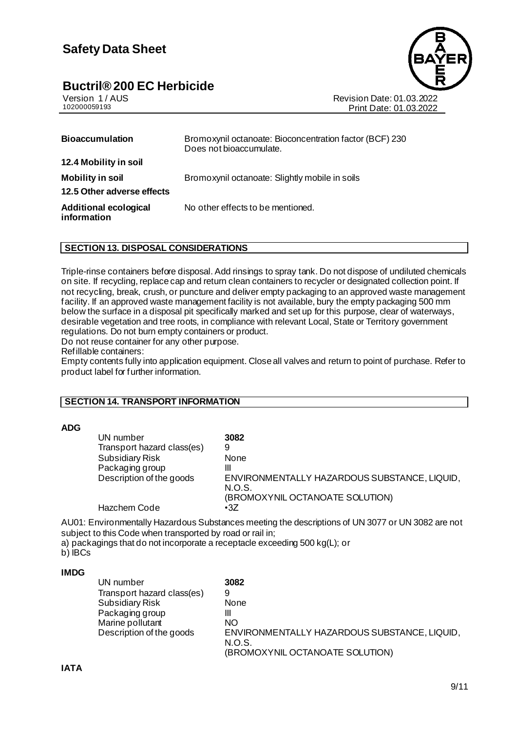

Version 1 / AUS<br>102000059193<br>Print Date: 01.03.2022 Print Date: 01.03.2022

| <b>Bioaccumulation</b>                      | Bromoxynil octanoate: Bioconcentration factor (BCF) 230<br>Does not bioaccumulate. |
|---------------------------------------------|------------------------------------------------------------------------------------|
| 12.4 Mobility in soil                       |                                                                                    |
| <b>Mobility in soil</b>                     | Bromoxynil octanoate: Slightly mobile in soils                                     |
| 12.5 Other adverse effects                  |                                                                                    |
| <b>Additional ecological</b><br>information | No other effects to be mentioned.                                                  |

### **SECTION 13. DISPOSAL CONSIDERATIONS**

Triple-rinse containers before disposal. Add rinsings to spray tank. Do not dispose of undiluted chemicals on site. If recycling, replace cap and return clean containers to recycler or designated collection point. If not recycling, break, crush, or puncture and deliver empty packaging to an approved waste management facility. If an approved waste management facility is not available, bury the empty packaging 500 mm below the surface in a disposal pit specifically marked and set up for this purpose, clear of waterways, desirable vegetation and tree roots, in compliance with relevant Local, State or Territory government regulations. Do not burn empty containers or product.

Do not reuse container for any other purpose.

Refillable containers:

Empty contents fully into application equipment. Close all valves and return to point of purchase. Refer to product label for further information.

### **SECTION 14. TRANSPORT INFORMATION**

### **ADG**

| UN number                  | 3082                                                   |
|----------------------------|--------------------------------------------------------|
| Transport hazard class(es) | 9                                                      |
| <b>Subsidiary Risk</b>     | None                                                   |
| Packaging group            | Ш                                                      |
| Description of the goods   | ENVIRONMENTALLY HAZARDOUS SUBSTANCE, LIQUID,<br>N.O.S. |
|                            | (BROMOXYNIL OCTANOATE SOLUTION)                        |
| Hazchem Code               | $\cdot$ 3Z                                             |

AU01: Environmentally Hazardous Substances meeting the descriptions of UN 3077 or UN 3082 are not subject to this Code when transported by road or rail in;

a) packagings that do not incorporate a receptacle exceeding 500 kg(L); or

b) IBCs

### **IMDG**

| UN number                  | 3082                                         |
|----------------------------|----------------------------------------------|
| Transport hazard class(es) | 9                                            |
| <b>Subsidiary Risk</b>     | None                                         |
| Packaging group            | Ш                                            |
| Marine pollutant           | NO                                           |
| Description of the goods   | ENVIRONMENTALLY HAZARDOUS SUBSTANCE, LIQUID, |
|                            | N.O.S.                                       |
|                            | (BROMOXYNIL OCTANOATE SOLUTION)              |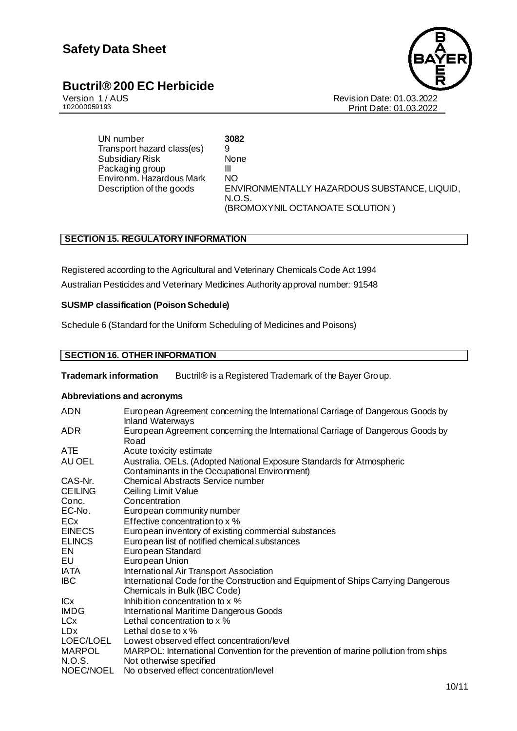

Version 1 / AUS Revision Date: 01.03.2022 Print Date: 01.03.2022

UN number **3082**<br>Transport hazard class(es) 9 Transport hazard class(es) 9 Subsidiary Risk None Packaging group III<br>Fnyironm Hazardous Mark NO Environm. Hazardous Mark Description of the goods ENVIRONMENTALLY HAZARDOUS SUBSTANCE, LIQUID, N.O.S. (BROMOXYNIL OCTANOATE SOLUTION )

### **SECTION 15. REGULATORY INFORMATION**

Registered according to the Agricultural and Veterinary Chemicals Code Act 1994 Australian Pesticides and Veterinary Medicines Authority approval number: 91548

### **SUSMP classification (Poison Schedule)**

Schedule 6 (Standard for the Uniform Scheduling of Medicines and Poisons)

### **SECTION 16. OTHER INFORMATION**

**Trademark information** Buctril® is a Registered Trademark of the Bayer Group.

### **Abbreviations and acronyms**

| <b>ADN</b>     | European Agreement concerning the International Carriage of Dangerous Goods by<br><b>Inland Waterways</b>              |
|----------------|------------------------------------------------------------------------------------------------------------------------|
| <b>ADR</b>     | European Agreement concerning the International Carriage of Dangerous Goods by<br>Road                                 |
| ATE            | Acute toxicity estimate                                                                                                |
| AU OEL         | Australia. OELs. (Adopted National Exposure Standards for Atmospheric<br>Contaminants in the Occupational Environment) |
| CAS-Nr.        | <b>Chemical Abstracts Service number</b>                                                                               |
| <b>CEILING</b> | Ceiling Limit Value                                                                                                    |
| Conc.          | Concentration                                                                                                          |
| EC-No.         | European community number                                                                                              |
| ECx            | Effective concentration to x %                                                                                         |
| <b>EINECS</b>  | European inventory of existing commercial substances                                                                   |
| <b>ELINCS</b>  | European list of notified chemical substances                                                                          |
| EN             | European Standard                                                                                                      |
| EU             | European Union                                                                                                         |
| <b>IATA</b>    | International Air Transport Association                                                                                |
| <b>IBC</b>     | International Code for the Construction and Equipment of Ships Carrying Dangerous<br>Chemicals in Bulk (IBC Code)      |
| <b>ICx</b>     | Inhibition concentration to x %                                                                                        |
| <b>IMDG</b>    | International Maritime Dangerous Goods                                                                                 |
| <b>LCx</b>     | Lethal concentration to x %                                                                                            |
| <b>LDx</b>     | Lethal dose to $x$ %                                                                                                   |
| LOEC/LOEL      | Lowest observed effect concentration/level                                                                             |
| <b>MARPOL</b>  | MARPOL: International Convention for the prevention of marine pollution from ships                                     |
| N.O.S.         | Not otherwise specified                                                                                                |
| NOEC/NOEL      | No observed effect concentration/level                                                                                 |